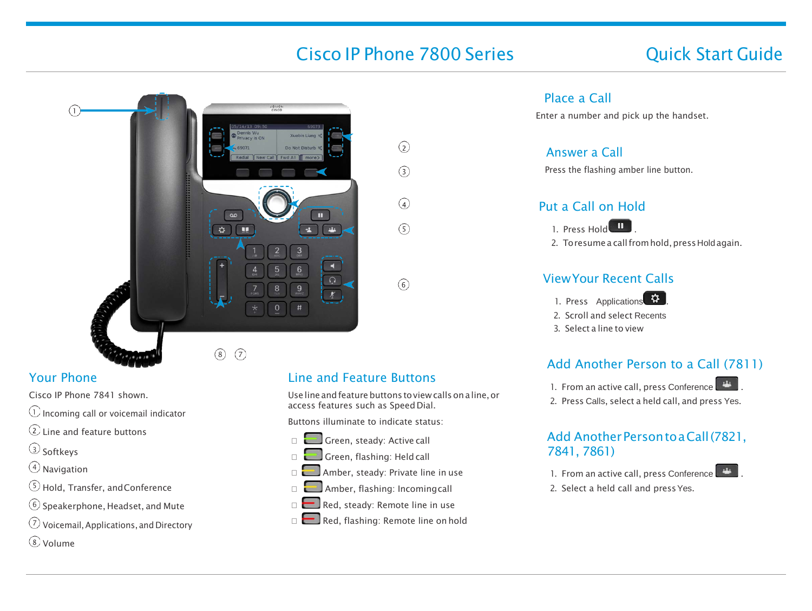# Cisco IP Phone 7800 Series Cisco IP Phone 7800 Series Cuick Start Guide

 $\odot$ 

 $(3)$ 

 $\Omega$ 

 $\sqrt{5}$ 

 $\binom{6}{}$ 



# Your Phone

Cisco IP Phone 7841 shown.

- $\circlearrowleft$  Incoming call or voicemail indicator
- $\Omega$  line and feature buttons
- <sup>3</sup> Softkeys
- <sup>4</sup> Navigation
- <sup>5</sup> Hold, Transfer, andConference
- $(6)$  Speakerphone, Headset, and Mute
- <sup>7</sup> Voicemail,Applications, and Directory
- Volume

# Line and Feature Buttons

Use line andfeaturebuttons toviewcallsonaline,or access features such as Speed Dial.

Buttons illuminate to indicate status:

- Green, steady: Active call
- Green, flashing: Held call
- **Amber, steady: Private line in use**
- **Example 2** Amber, flashing: Incomingcall
- $\Box$  Red, steady: Remote line in use
- Red, flashing: Remote line on hold

#### Place a Call

Enter a number and pick up the handset.

#### Answer a Call

Press the flashing amber line button.

## Put a Call on Hold



2. To resume a call from hold, press Hold again.

#### ViewYour Recent Calls

1. Press Applications .

2. Scroll and select Recents

3. Select a line to view

# Add Another Person to a Call (7811)

- 1. From an active call, press Conference
- 2. Press Calls, select a held call, and press Yes.

## Add Another Person to a Call (7821, 7841, 7861)

- 1. From an active call, press Conference
- 2. Select a held call and press Yes.